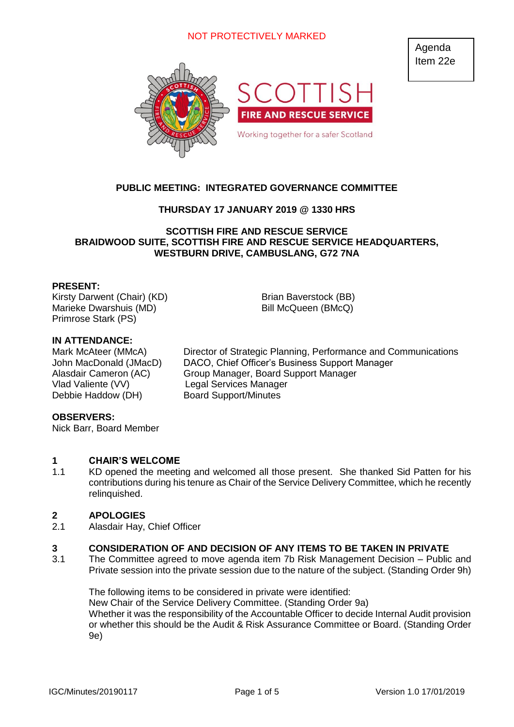# NOT PROTECTIVELY MARKED



# **PUBLIC MEETING: INTEGRATED GOVERNANCE COMMITTEE**

# **THURSDAY 17 JANUARY 2019 @ 1330 HRS**

### **SCOTTISH FIRE AND RESCUE SERVICE BRAIDWOOD SUITE, SCOTTISH FIRE AND RESCUE SERVICE HEADQUARTERS, WESTBURN DRIVE, CAMBUSLANG, G72 7NA**

### **PRESENT:**

Kirsty Darwent (Chair) (KD) Brian Baverstock (BB) Marieke Dwarshuis (MD) Bill McQueen (BMcQ) Primrose Stark (PS)

## **IN ATTENDANCE:**

Vlad Valiente (VV) Legal Services Manager Debbie Haddow (DH) Board Support/Minutes

Mark McAteer (MMcA) Director of Strategic Planning, Performance and Communications John MacDonald (JMacD) DACO, Chief Officer's Business Support Manager Alasdair Cameron (AC) Group Manager, Board Support Manager

### **OBSERVERS:**

Nick Barr, Board Member

#### **1 CHAIR'S WELCOME**

1.1 KD opened the meeting and welcomed all those present. She thanked Sid Patten for his contributions during his tenure as Chair of the Service Delivery Committee, which he recently relinquished.

#### **2 APOLOGIES**

2.1 Alasdair Hay, Chief Officer

#### **3 CONSIDERATION OF AND DECISION OF ANY ITEMS TO BE TAKEN IN PRIVATE**

3.1 The Committee agreed to move agenda item 7b Risk Management Decision – Public and Private session into the private session due to the nature of the subject. (Standing Order 9h)

The following items to be considered in private were identified: New Chair of the Service Delivery Committee. (Standing Order 9a) Whether it was the responsibility of the Accountable Officer to decide Internal Audit provision or whether this should be the Audit & Risk Assurance Committee or Board. (Standing Order 9e)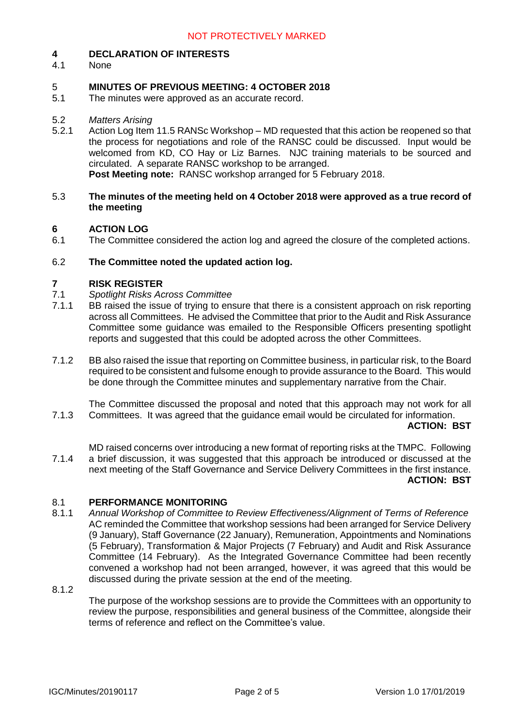#### **4 DECLARATION OF INTERESTS**

4.1 None

#### 5 **MINUTES OF PREVIOUS MEETING: 4 OCTOBER 2018**

5.1 The minutes were approved as an accurate record.

#### 5.2 *Matters Arising*

5.2.1 Action Log Item 11.5 RANSc Workshop – MD requested that this action be reopened so that the process for negotiations and role of the RANSC could be discussed. Input would be welcomed from KD, CO Hay or Liz Barnes. NJC training materials to be sourced and circulated. A separate RANSC workshop to be arranged. **Post Meeting note:** RANSC workshop arranged for 5 February 2018.

### 5.3 **The minutes of the meeting held on 4 October 2018 were approved as a true record of the meeting**

#### **6 ACTION LOG**

6.1 The Committee considered the action log and agreed the closure of the completed actions.

#### 6.2 **The Committee noted the updated action log.**

#### **7 RISK REGISTER**

- 7.1 *Spotlight Risks Across Committee*
- 7.1.1 BB raised the issue of trying to ensure that there is a consistent approach on risk reporting across all Committees. He advised the Committee that prior to the Audit and Risk Assurance Committee some guidance was emailed to the Responsible Officers presenting spotlight reports and suggested that this could be adopted across the other Committees.
- 7.1.2 BB also raised the issue that reporting on Committee business, in particular risk, to the Board required to be consistent and fulsome enough to provide assurance to the Board. This would be done through the Committee minutes and supplementary narrative from the Chair.

7.1.3 The Committee discussed the proposal and noted that this approach may not work for all Committees. It was agreed that the guidance email would be circulated for information.

### **ACTION: BST**

7.1.4 MD raised concerns over introducing a new format of reporting risks at the TMPC. Following a brief discussion, it was suggested that this approach be introduced or discussed at the next meeting of the Staff Governance and Service Delivery Committees in the first instance. **ACTION: BST**

#### 8.1 **PERFORMANCE MONITORING**

8.1.1 *Annual Workshop of Committee to Review Effectiveness/Alignment of Terms of Reference* AC reminded the Committee that workshop sessions had been arranged for Service Delivery (9 January), Staff Governance (22 January), Remuneration, Appointments and Nominations (5 February), Transformation & Major Projects (7 February) and Audit and Risk Assurance Committee (14 February). As the Integrated Governance Committee had been recently convened a workshop had not been arranged, however, it was agreed that this would be discussed during the private session at the end of the meeting.

8.1.2

The purpose of the workshop sessions are to provide the Committees with an opportunity to review the purpose, responsibilities and general business of the Committee, alongside their terms of reference and reflect on the Committee's value.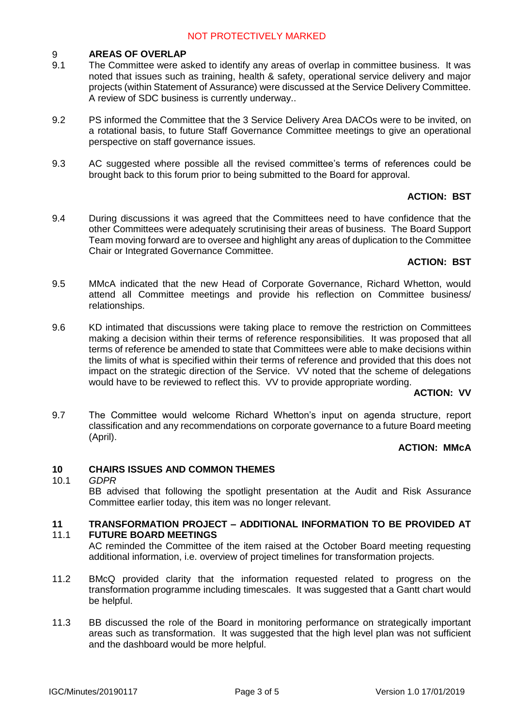#### 9 **AREAS OF OVERLAP**

- 9.1 The Committee were asked to identify any areas of overlap in committee business. It was noted that issues such as training, health & safety, operational service delivery and major projects (within Statement of Assurance) were discussed at the Service Delivery Committee. A review of SDC business is currently underway..
- 9.2 PS informed the Committee that the 3 Service Delivery Area DACOs were to be invited, on a rotational basis, to future Staff Governance Committee meetings to give an operational perspective on staff governance issues.
- 9.3 AC suggested where possible all the revised committee's terms of references could be brought back to this forum prior to being submitted to the Board for approval.

# **ACTION: BST**

9.4 During discussions it was agreed that the Committees need to have confidence that the other Committees were adequately scrutinising their areas of business. The Board Support Team moving forward are to oversee and highlight any areas of duplication to the Committee Chair or Integrated Governance Committee.

# **ACTION: BST**

- 9.5 MMcA indicated that the new Head of Corporate Governance, Richard Whetton, would attend all Committee meetings and provide his reflection on Committee business/ relationships.
- 9.6 KD intimated that discussions were taking place to remove the restriction on Committees making a decision within their terms of reference responsibilities. It was proposed that all terms of reference be amended to state that Committees were able to make decisions within the limits of what is specified within their terms of reference and provided that this does not impact on the strategic direction of the Service. VV noted that the scheme of delegations would have to be reviewed to reflect this. VV to provide appropriate wording.

### **ACTION: VV**

9.7 The Committee would welcome Richard Whetton's input on agenda structure, report classification and any recommendations on corporate governance to a future Board meeting (April).

# **ACTION: MMcA**

#### **10 CHAIRS ISSUES AND COMMON THEMES**

10.1 *GDPR* BB advised that following the spotlight presentation at the Audit and Risk Assurance Committee earlier today, this item was no longer relevant.

#### **11** 11.1 **TRANSFORMATION PROJECT – ADDITIONAL INFORMATION TO BE PROVIDED AT FUTURE BOARD MEETINGS**

AC reminded the Committee of the item raised at the October Board meeting requesting additional information, i.e. overview of project timelines for transformation projects.

- 11.2 BMcQ provided clarity that the information requested related to progress on the transformation programme including timescales. It was suggested that a Gantt chart would be helpful.
- 11.3 BB discussed the role of the Board in monitoring performance on strategically important areas such as transformation. It was suggested that the high level plan was not sufficient and the dashboard would be more helpful.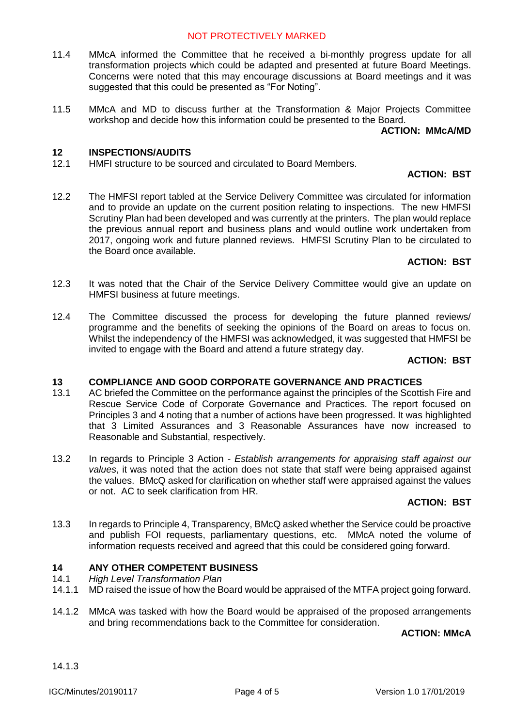# NOT PROTECTIVELY MARKED

- 11.4 MMcA informed the Committee that he received a bi-monthly progress update for all transformation projects which could be adapted and presented at future Board Meetings. Concerns were noted that this may encourage discussions at Board meetings and it was suggested that this could be presented as "For Noting".
- 11.5 MMcA and MD to discuss further at the Transformation & Major Projects Committee workshop and decide how this information could be presented to the Board.

## **ACTION: MMcA/MD**

#### **12 INSPECTIONS/AUDITS**

12.1 HMFI structure to be sourced and circulated to Board Members.

### **ACTION: BST**

12.2 The HMFSI report tabled at the Service Delivery Committee was circulated for information and to provide an update on the current position relating to inspections. The new HMFSI Scrutiny Plan had been developed and was currently at the printers. The plan would replace the previous annual report and business plans and would outline work undertaken from 2017, ongoing work and future planned reviews. HMFSI Scrutiny Plan to be circulated to the Board once available.

## **ACTION: BST**

- 12.3 It was noted that the Chair of the Service Delivery Committee would give an update on HMFSI business at future meetings.
- 12.4 The Committee discussed the process for developing the future planned reviews/ programme and the benefits of seeking the opinions of the Board on areas to focus on. Whilst the independency of the HMFSI was acknowledged, it was suggested that HMFSI be invited to engage with the Board and attend a future strategy day.

### **ACTION: BST**

#### **13 COMPLIANCE AND GOOD CORPORATE GOVERNANCE AND PRACTICES**

- 13.1 AC briefed the Committee on the performance against the principles of the Scottish Fire and Rescue Service Code of Corporate Governance and Practices. The report focused on Principles 3 and 4 noting that a number of actions have been progressed. It was highlighted that 3 Limited Assurances and 3 Reasonable Assurances have now increased to Reasonable and Substantial, respectively.
- 13.2 In regards to Principle 3 Action - *Establish arrangements for appraising staff against our values*, it was noted that the action does not state that staff were being appraised against the values. BMcQ asked for clarification on whether staff were appraised against the values or not. AC to seek clarification from HR.

# **ACTION: BST**

13.3 In regards to Principle 4, Transparency, BMcQ asked whether the Service could be proactive and publish FOI requests, parliamentary questions, etc. MMcA noted the volume of information requests received and agreed that this could be considered going forward.

#### **14 ANY OTHER COMPETENT BUSINESS**

- 14.1 *High Level Transformation Plan*
- 14.1.1 MD raised the issue of how the Board would be appraised of the MTFA project going forward.
- 14.1.2 MMcA was tasked with how the Board would be appraised of the proposed arrangements and bring recommendations back to the Committee for consideration.

### **ACTION: MMcA**

14.1.3